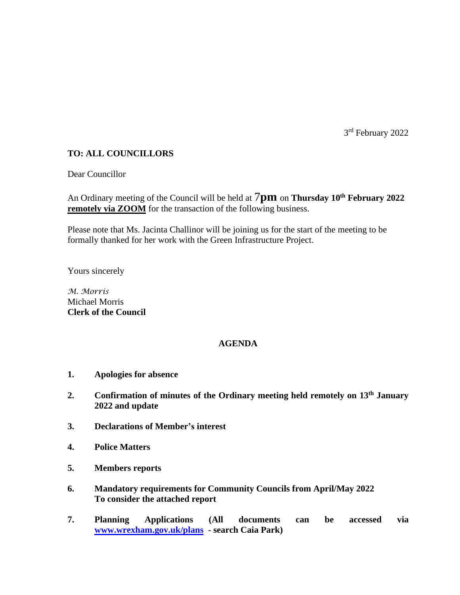3rd February 2022

# **TO: ALL COUNCILLORS**

Dear Councillor

An Ordinary meeting of the Council will be held at 7**pm** on **Thursday 10th February 2022 remotely via ZOOM** for the transaction of the following business.

Please note that Ms. Jacinta Challinor will be joining us for the start of the meeting to be formally thanked for her work with the Green Infrastructure Project.

Yours sincerely

*M. Morris* Michael Morris **Clerk of the Council**

## **AGENDA**

- **1. Apologies for absence**
- **2. Confirmation of minutes of the Ordinary meeting held remotely on 13th January 2022 and update**
- **3. Declarations of Member's interest**
- **4. Police Matters**
- **5. Members reports**
- **6. Mandatory requirements for Community Councils from April/May 2022 To consider the attached report**
- **7. Planning Applications (All documents can be accessed via [www.wrexham.gov.uk/plans](http://www.wrexham.gov.uk/plans) - search Caia Park)**